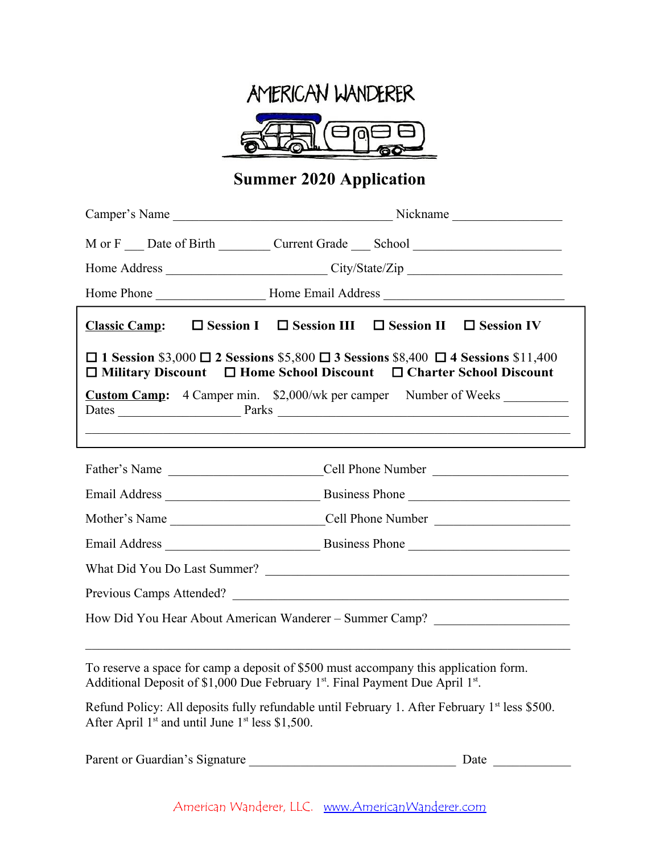

# **Summer 2020 Application**

|                                                                                                                                                                                                | M or F __ Date of Birth _________ Current Grade ____ School ____________________  |  |  |  |  |
|------------------------------------------------------------------------------------------------------------------------------------------------------------------------------------------------|-----------------------------------------------------------------------------------|--|--|--|--|
|                                                                                                                                                                                                | Home Address _______________________________City/State/Zip _____________________  |  |  |  |  |
|                                                                                                                                                                                                |                                                                                   |  |  |  |  |
|                                                                                                                                                                                                | Classic Camp: $\square$ Session I $\square$ Session III $\square$ Session IV      |  |  |  |  |
| $\Box$ 1 Session \$3,000 $\Box$ 2 Sessions \$5,800 $\Box$ 3 Sessions \$8,400 $\Box$ 4 Sessions \$11,400<br>$\Box$ Military Discount $\Box$ Home School Discount $\Box$ Charter School Discount |                                                                                   |  |  |  |  |
| <b>Custom Camp:</b> 4 Camper min. \$2,000/wk per camper Number of Weeks _______________                                                                                                        |                                                                                   |  |  |  |  |
|                                                                                                                                                                                                |                                                                                   |  |  |  |  |
|                                                                                                                                                                                                |                                                                                   |  |  |  |  |
|                                                                                                                                                                                                |                                                                                   |  |  |  |  |
|                                                                                                                                                                                                | Mother's Name _________________________________Cell Phone Number ________________ |  |  |  |  |
|                                                                                                                                                                                                |                                                                                   |  |  |  |  |
| What Did You Do Last Summer?                                                                                                                                                                   |                                                                                   |  |  |  |  |
| Previous Camps Attended?                                                                                                                                                                       |                                                                                   |  |  |  |  |
| How Did You Hear About American Wanderer - Summer Camp? ________________________                                                                                                               |                                                                                   |  |  |  |  |
|                                                                                                                                                                                                |                                                                                   |  |  |  |  |

To reserve a space for camp a deposit of \$500 must accompany this application form. Additional Deposit of \$1,000 Due February  $1<sup>st</sup>$ . Final Payment Due April  $1<sup>st</sup>$ .

Refund Policy: All deposits fully refundable until February 1. After February 1st less \$500. After April  $1<sup>st</sup>$  and until June  $1<sup>st</sup>$  less \$1,500.

| Parent or Guardian's Signature |  |  |  |
|--------------------------------|--|--|--|
|--------------------------------|--|--|--|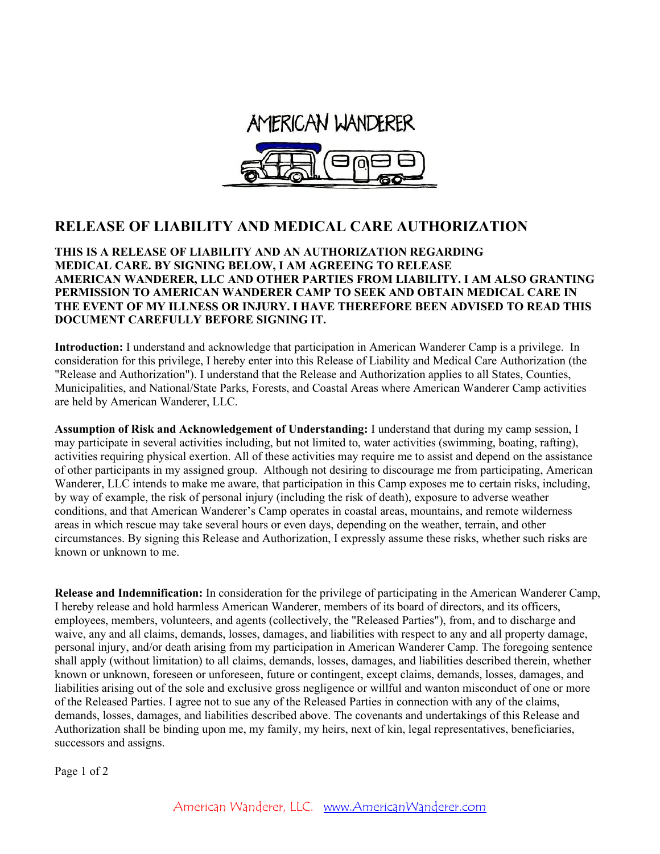

#### **RELEASE OF LIABILITY AND MEDICAL CARE AUTHORIZATION**

**THIS IS A RELEASE OF LIABILITY AND AN AUTHORIZATION REGARDING MEDICAL CARE. BY SIGNING BELOW, I AM AGREEING TO RELEASE AMERICAN WANDERER, LLC AND OTHER PARTIES FROM LIABILITY. I AM ALSO GRANTING PERMISSION TO AMERICAN WANDERER CAMP TO SEEK AND OBTAIN MEDICAL CARE IN THE EVENT OF MY ILLNESS OR INJURY. I HAVE THEREFORE BEEN ADVISED TO READ THIS DOCUMENT CAREFULLY BEFORE SIGNING IT.**

**Introduction:** I understand and acknowledge that participation in American Wanderer Camp is a privilege. In consideration for this privilege, I hereby enter into this Release of Liability and Medical Care Authorization (the "Release and Authorization"). I understand that the Release and Authorization applies to all States, Counties, Municipalities, and National/State Parks, Forests, and Coastal Areas where American Wanderer Camp activities are held by American Wanderer, LLC.

**Assumption of Risk and Acknowledgement of Understanding:** I understand that during my camp session, I may participate in several activities including, but not limited to, water activities (swimming, boating, rafting), activities requiring physical exertion. All of these activities may require me to assist and depend on the assistance of other participants in my assigned group. Although not desiring to discourage me from participating, American Wanderer, LLC intends to make me aware, that participation in this Camp exposes me to certain risks, including, by way of example, the risk of personal injury (including the risk of death), exposure to adverse weather conditions, and that American Wanderer's Camp operates in coastal areas, mountains, and remote wilderness areas in which rescue may take several hours or even days, depending on the weather, terrain, and other circumstances. By signing this Release and Authorization, I expressly assume these risks, whether such risks are known or unknown to me.

**Release and Indemnification:** In consideration for the privilege of participating in the American Wanderer Camp, I hereby release and hold harmless American Wanderer, members of its board of directors, and its officers, employees, members, volunteers, and agents (collectively, the "Released Parties"), from, and to discharge and waive, any and all claims, demands, losses, damages, and liabilities with respect to any and all property damage, personal injury, and/or death arising from my participation in American Wanderer Camp. The foregoing sentence shall apply (without limitation) to all claims, demands, losses, damages, and liabilities described therein, whether known or unknown, foreseen or unforeseen, future or contingent, except claims, demands, losses, damages, and liabilities arising out of the sole and exclusive gross negligence or willful and wanton misconduct of one or more of the Released Parties. I agree not to sue any of the Released Parties in connection with any of the claims, demands, losses, damages, and liabilities described above. The covenants and undertakings of this Release and Authorization shall be binding upon me, my family, my heirs, next of kin, legal representatives, beneficiaries, successors and assigns.

Page 1 of 2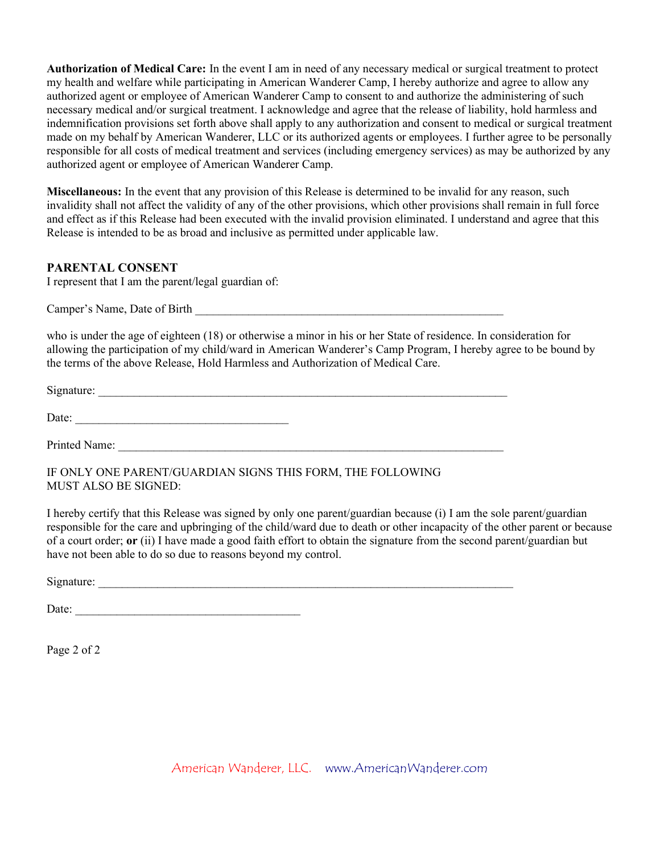**Authorization of Medical Care:** In the event I am in need of any necessary medical or surgical treatment to protect my health and welfare while participating in American Wanderer Camp, I hereby authorize and agree to allow any authorized agent or employee of American Wanderer Camp to consent to and authorize the administering of such necessary medical and/or surgical treatment. I acknowledge and agree that the release of liability, hold harmless and indemnification provisions set forth above shall apply to any authorization and consent to medical or surgical treatment made on my behalf by American Wanderer, LLC or its authorized agents or employees. I further agree to be personally responsible for all costs of medical treatment and services (including emergency services) as may be authorized by any authorized agent or employee of American Wanderer Camp.

**Miscellaneous:** In the event that any provision of this Release is determined to be invalid for any reason, such invalidity shall not affect the validity of any of the other provisions, which other provisions shall remain in full force and effect as if this Release had been executed with the invalid provision eliminated. I understand and agree that this Release is intended to be as broad and inclusive as permitted under applicable law.

#### **PARENTAL CONSENT**

I represent that I am the parent/legal guardian of:

Camper's Name, Date of Birth \_\_\_\_\_\_\_\_\_\_\_\_\_\_\_\_\_\_\_\_\_\_\_\_\_\_\_\_\_\_\_\_\_\_\_\_\_\_\_\_\_\_\_\_\_\_\_\_\_\_\_\_

who is under the age of eighteen (18) or otherwise a minor in his or her State of residence. In consideration for allowing the participation of my child/ward in American Wanderer's Camp Program, I hereby agree to be bound by the terms of the above Release, Hold Harmless and Authorization of Medical Care.

 $Signature:$ 

Date:

Printed Name:

IF ONLY ONE PARENT/GUARDIAN SIGNS THIS FORM, THE FOLLOWING MUST ALSO BE SIGNED:

I hereby certify that this Release was signed by only one parent/guardian because (i) I am the sole parent/guardian responsible for the care and upbringing of the child/ward due to death or other incapacity of the other parent or because of a court order; **or** (ii) I have made a good faith effort to obtain the signature from the second parent/guardian but have not been able to do so due to reasons beyond my control.

Signature:

Date: \_\_\_\_\_\_\_\_\_\_\_\_\_\_\_\_\_\_\_\_\_\_\_\_\_\_\_\_\_\_\_\_\_\_\_\_\_\_

Page 2 of 2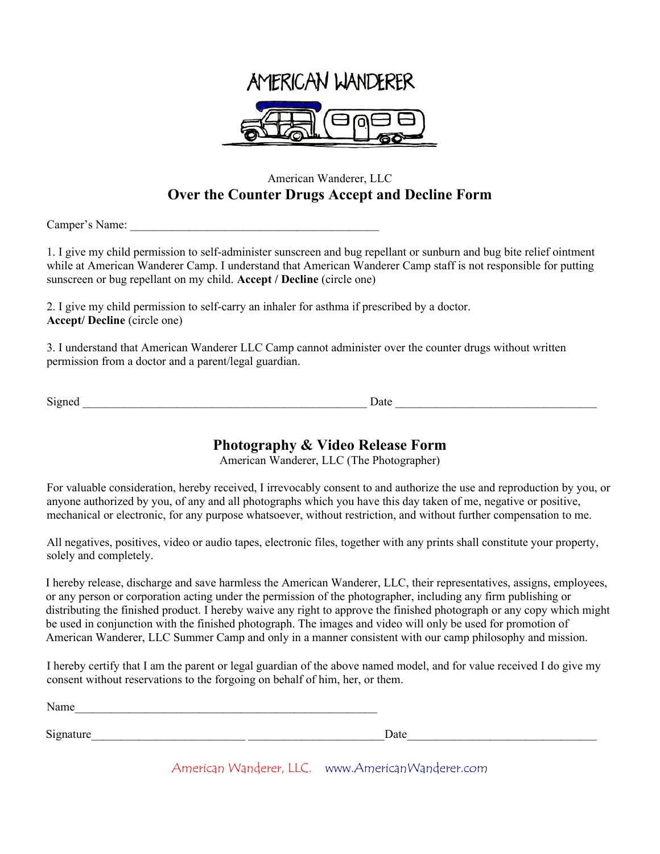

### American Wanderer, LLC **Over the Counter Drugs Accept and Decline Form**

Camper's Name: \_\_\_\_\_\_\_\_\_\_\_\_\_\_\_\_\_\_\_\_\_\_\_\_\_\_\_\_\_\_\_\_\_\_\_\_\_\_\_\_\_\_

1. I give my child permission to self-administer sunscreen and bug repellant or sunburn and bug bite relief ointment while at American Wanderer Camp. I understand that American Wanderer Camp staff is not responsible for putting sunscreen or bug repellant on my child. **Accept / Decline** (circle one)

2. I give my child permission to self-carry an inhaler for asthma if prescribed by a doctor. **Accept/ Decline** (circle one)

3. I understand that American Wanderer LLC Camp cannot administer over the counter drugs without written permission from a doctor and a parent/legal guardian.

Signed Date Date  $\Box$ 

# **Photography & Video Release Form**

American Wanderer, LLC (The Photographer)

For valuable consideration, hereby received, I irrevocably consent to and authorize the use and reproduction by you, or anyone authorized by you, of any and all photographs which you have this day taken of me, negative or positive, mechanical or electronic, for any purpose whatsoever, without restriction, and without further compensation to me.

All negatives, positives, video or audio tapes, electronic files, together with any prints shall constitute your property, solely and completely.

I hereby release, discharge and save harmless the American Wanderer, LLC, their representatives, assigns, employees, or any person or corporation acting under the permission of the photographer, including any firm publishing or distributing the finished product. I hereby waive any right to approve the finished photograph or any copy which might be used in conjunction with the finished photograph. The images and video will only be used for promotion of American Wanderer, LLC Summer Camp and only in a manner consistent with our camp philosophy and mission.

I hereby certify that I am the parent or legal guardian of the above named model, and for value received I do give my consent without reservations to the forgoing on behalf of him, her, or them.

Name

Signature\_\_\_\_\_\_\_\_\_\_\_\_\_\_\_\_\_\_\_\_\_\_\_\_\_\_ \_\_\_\_\_\_\_\_\_\_\_\_\_\_\_\_\_\_\_\_\_\_\_Date\_\_\_\_\_\_\_\_\_\_\_\_\_\_\_\_\_\_\_\_\_\_\_\_\_\_\_\_\_\_\_\_

American Wanderer, LLC. www.AmericanWanderer.com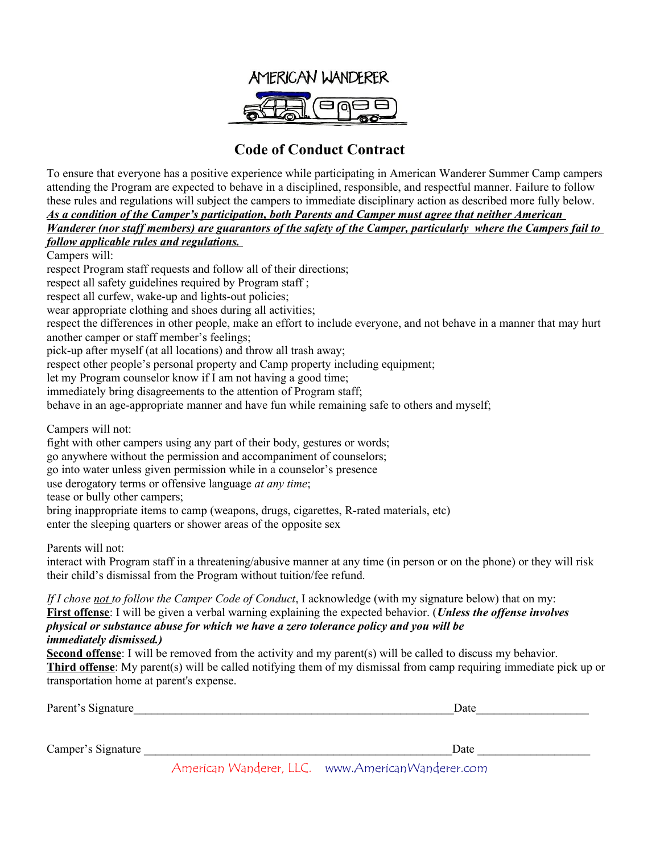

### **Code of Conduct Contract**

To ensure that everyone has a positive experience while participating in American Wanderer Summer Camp campers attending the Program are expected to behave in a disciplined, responsible, and respectful manner. Failure to follow these rules and regulations will subject the campers to immediate disciplinary action as described more fully below. *As a condition of the Camper's participation, both Parents and Camper must agree that neither American* 

*Wanderer (nor staff members) are guarantors of the safety of the Camper, particularly where the Campers fail to follow applicable rules and regulations.* 

Campers will:

respect Program staff requests and follow all of their directions;

respect all safety guidelines required by Program staff ;

respect all curfew, wake-up and lights-out policies;

wear appropriate clothing and shoes during all activities;

respect the differences in other people, make an effort to include everyone, and not behave in a manner that may hurt another camper or staff member's feelings;

pick-up after myself (at all locations) and throw all trash away;

respect other people's personal property and Camp property including equipment;

let my Program counselor know if I am not having a good time;

immediately bring disagreements to the attention of Program staff;

behave in an age-appropriate manner and have fun while remaining safe to others and myself;

Campers will not:

fight with other campers using any part of their body, gestures or words;

go anywhere without the permission and accompaniment of counselors;

go into water unless given permission while in a counselor's presence

use derogatory terms or offensive language *at any time*;

tease or bully other campers;

bring inappropriate items to camp (weapons, drugs, cigarettes, R-rated materials, etc)

enter the sleeping quarters or shower areas of the opposite sex

Parents will not:

interact with Program staff in a threatening/abusive manner at any time (in person or on the phone) or they will risk their child's dismissal from the Program without tuition/fee refund.

*If I chose not to follow the Camper Code of Conduct*, I acknowledge (with my signature below) that on my: **First offense**: I will be given a verbal warning explaining the expected behavior. (*Unless the offense involves physical or substance abuse for which we have a zero tolerance policy and you will be immediately dismissed.)* 

**Second offense**: I will be removed from the activity and my parent(s) will be called to discuss my behavior. **Third offense**: My parent(s) will be called notifying them of my dismissal from camp requiring immediate pick up or transportation home at parent's expense.

| Parent's Signature | Date |
|--------------------|------|
|                    |      |
|                    |      |
| Camper's Signature | Date |

American Wanderer, LLC. www.AmericanWanderer.com